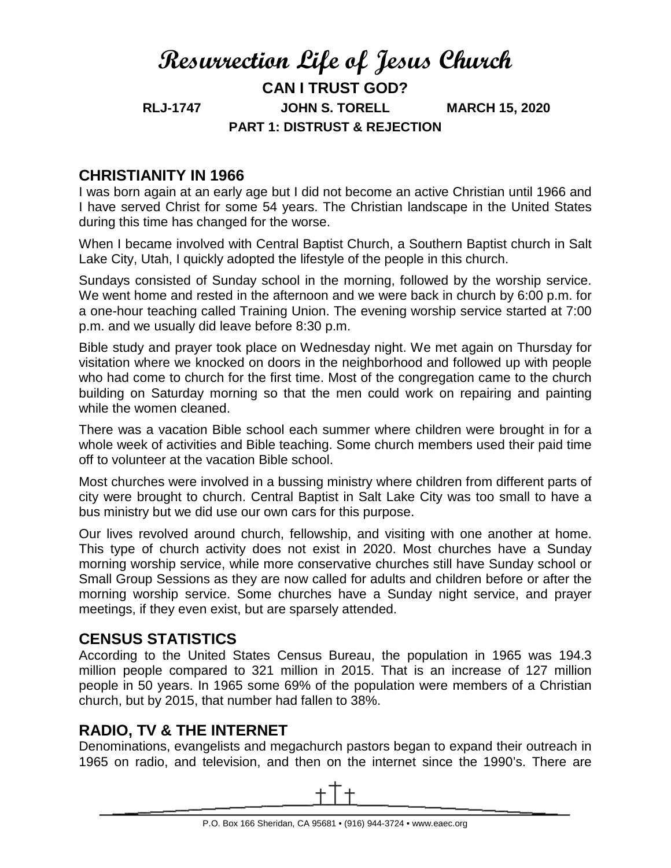# **Resurrection Life of Jesus Church CAN I TRUST GOD? RLJ-1747 JOHN S. TORELL MARCH 15, 2020 PART 1: DISTRUST & REJECTION**

#### **CHRISTIANITY IN 1966**

I was born again at an early age but I did not become an active Christian until 1966 and I have served Christ for some 54 years. The Christian landscape in the United States during this time has changed for the worse.

When I became involved with Central Baptist Church, a Southern Baptist church in Salt Lake City, Utah, I quickly adopted the lifestyle of the people in this church.

Sundays consisted of Sunday school in the morning, followed by the worship service. We went home and rested in the afternoon and we were back in church by 6:00 p.m. for a one-hour teaching called Training Union. The evening worship service started at 7:00 p.m. and we usually did leave before 8:30 p.m.

Bible study and prayer took place on Wednesday night. We met again on Thursday for visitation where we knocked on doors in the neighborhood and followed up with people who had come to church for the first time. Most of the congregation came to the church building on Saturday morning so that the men could work on repairing and painting while the women cleaned.

There was a vacation Bible school each summer where children were brought in for a whole week of activities and Bible teaching. Some church members used their paid time off to volunteer at the vacation Bible school.

Most churches were involved in a bussing ministry where children from different parts of city were brought to church. Central Baptist in Salt Lake City was too small to have a bus ministry but we did use our own cars for this purpose.

Our lives revolved around church, fellowship, and visiting with one another at home. This type of church activity does not exist in 2020. Most churches have a Sunday morning worship service, while more conservative churches still have Sunday school or Small Group Sessions as they are now called for adults and children before or after the morning worship service. Some churches have a Sunday night service, and prayer meetings, if they even exist, but are sparsely attended.

### **CENSUS STATISTICS**

According to the United States Census Bureau, the population in 1965 was 194.3 million people compared to 321 million in 2015. That is an increase of 127 million people in 50 years. In 1965 some 69% of the population were members of a Christian church, but by 2015, that number had fallen to 38%.

# **RADIO, TV & THE INTERNET**

Denominations, evangelists and megachurch pastors began to expand their outreach in 1965 on radio, and television, and then on the internet since the 1990's. There are

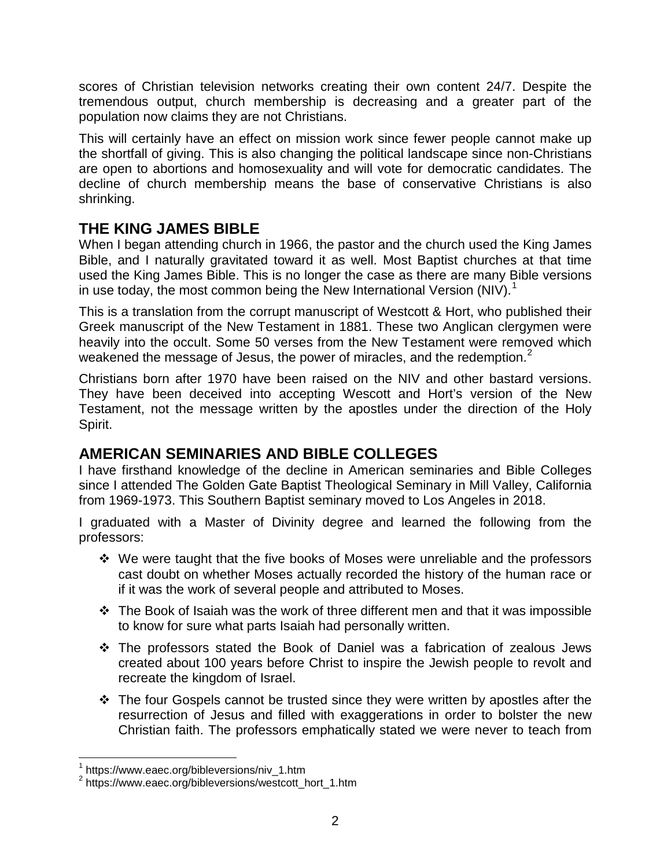scores of Christian television networks creating their own content 24/7. Despite the tremendous output, church membership is decreasing and a greater part of the population now claims they are not Christians.

This will certainly have an effect on mission work since fewer people cannot make up the shortfall of giving. This is also changing the political landscape since non-Christians are open to abortions and homosexuality and will vote for democratic candidates. The decline of church membership means the base of conservative Christians is also shrinking.

# **THE KING JAMES BIBLE**

When I began attending church in 1966, the pastor and the church used the King James Bible, and I naturally gravitated toward it as well. Most Baptist churches at that time used the King James Bible. This is no longer the case as there are many Bible versions in use today, the most common being the New International Version (NIV).<sup>[1](#page-1-0)</sup>

This is a translation from the corrupt manuscript of Westcott & Hort, who published their Greek manuscript of the New Testament in 1881. These two Anglican clergymen were heavily into the occult. Some 50 verses from the New Testament were removed which weakened the message of Jesus, the power of miracles, and the redemption.<sup>[2](#page-1-1)</sup>

Christians born after 1970 have been raised on the NIV and other bastard versions. They have been deceived into accepting Wescott and Hort's version of the New Testament, not the message written by the apostles under the direction of the Holy Spirit.

# **AMERICAN SEMINARIES AND BIBLE COLLEGES**

I have firsthand knowledge of the decline in American seminaries and Bible Colleges since I attended The Golden Gate Baptist Theological Seminary in Mill Valley, California from 1969-1973. This Southern Baptist seminary moved to Los Angeles in 2018.

I graduated with a Master of Divinity degree and learned the following from the professors:

- We were taught that the five books of Moses were unreliable and the professors cast doubt on whether Moses actually recorded the history of the human race or if it was the work of several people and attributed to Moses.
- $\div$  The Book of Isaiah was the work of three different men and that it was impossible to know for sure what parts Isaiah had personally written.
- The professors stated the Book of Daniel was a fabrication of zealous Jews created about 100 years before Christ to inspire the Jewish people to revolt and recreate the kingdom of Israel.
- $\div$  The four Gospels cannot be trusted since they were written by apostles after the resurrection of Jesus and filled with exaggerations in order to bolster the new Christian faith. The professors emphatically stated we were never to teach from

<sup>1</sup> https://www.eaec.org/bibleversions/niv\_1.htm

<span id="page-1-1"></span><span id="page-1-0"></span><sup>2</sup> https://www.eaec.org/bibleversions/westcott\_hort\_1.htm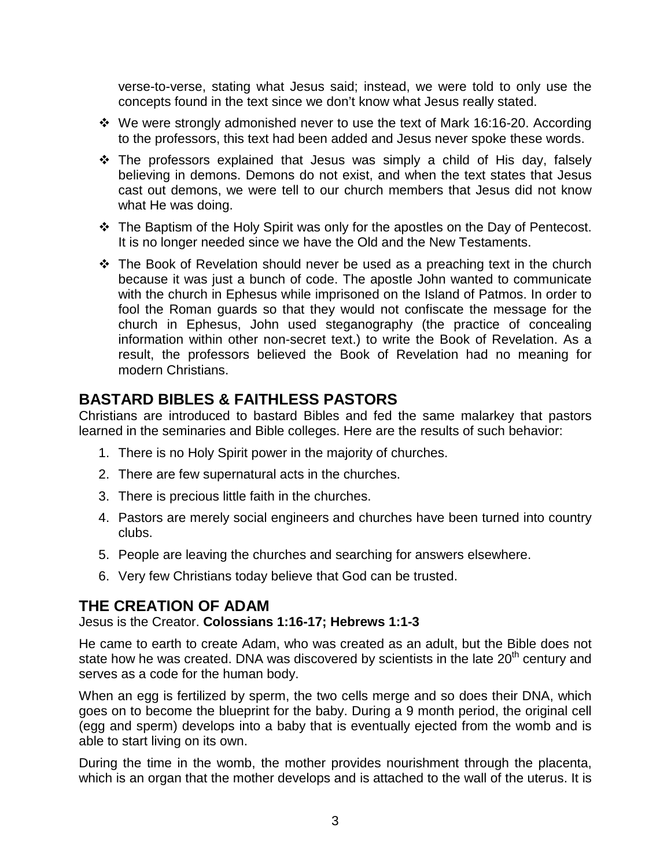verse-to-verse, stating what Jesus said; instead, we were told to only use the concepts found in the text since we don't know what Jesus really stated.

- We were strongly admonished never to use the text of Mark 16:16-20. According to the professors, this text had been added and Jesus never spoke these words.
- \* The professors explained that Jesus was simply a child of His day, falsely believing in demons. Demons do not exist, and when the text states that Jesus cast out demons, we were tell to our church members that Jesus did not know what He was doing.
- The Baptism of the Holy Spirit was only for the apostles on the Day of Pentecost. It is no longer needed since we have the Old and the New Testaments.
- The Book of Revelation should never be used as a preaching text in the church because it was just a bunch of code. The apostle John wanted to communicate with the church in Ephesus while imprisoned on the Island of Patmos. In order to fool the Roman guards so that they would not confiscate the message for the church in Ephesus, John used steganography (the practice of concealing information within other non-secret text.) to write the Book of Revelation. As a result, the professors believed the Book of Revelation had no meaning for modern Christians.

# **BASTARD BIBLES & FAITHLESS PASTORS**

Christians are introduced to bastard Bibles and fed the same malarkey that pastors learned in the seminaries and Bible colleges. Here are the results of such behavior:

- 1. There is no Holy Spirit power in the majority of churches.
- 2. There are few supernatural acts in the churches.
- 3. There is precious little faith in the churches.
- 4. Pastors are merely social engineers and churches have been turned into country clubs.
- 5. People are leaving the churches and searching for answers elsewhere.
- 6. Very few Christians today believe that God can be trusted.

### **THE CREATION OF ADAM**

Jesus is the Creator. **Colossians 1:16-17; Hebrews 1:1-3**

He came to earth to create Adam, who was created as an adult, but the Bible does not state how he was created. DNA was discovered by scientists in the late  $20<sup>th</sup>$  century and serves as a code for the human body.

When an egg is fertilized by sperm, the two cells merge and so does their DNA, which goes on to become the blueprint for the baby. During a 9 month period, the original cell (egg and sperm) develops into a baby that is eventually ejected from the womb and is able to start living on its own.

During the time in the womb, the mother provides nourishment through the placenta, which is an organ that the mother develops and is attached to the wall of the uterus. It is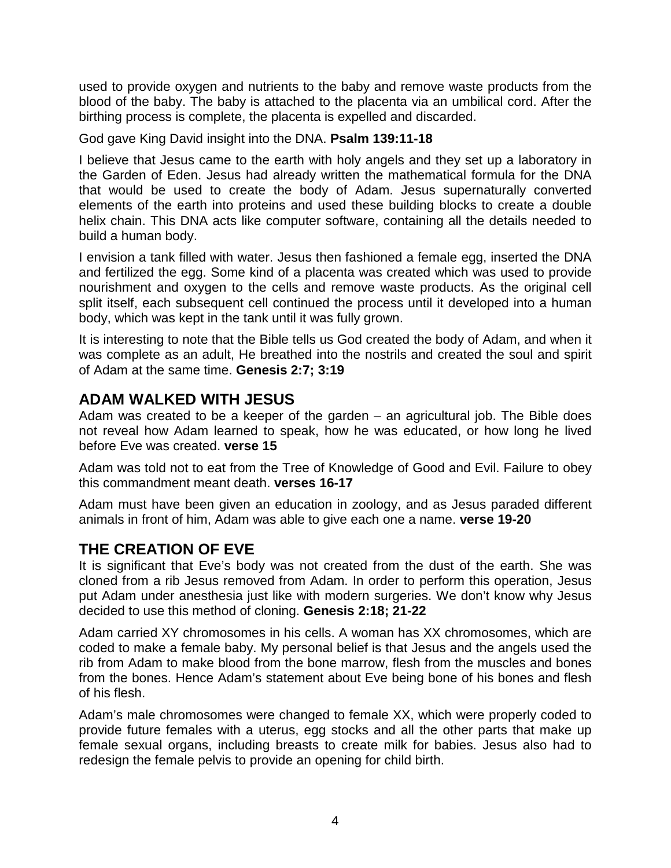used to provide oxygen and nutrients to the baby and remove waste products from the blood of the baby. The baby is attached to the placenta via an umbilical cord. After the birthing process is complete, the placenta is expelled and discarded.

God gave King David insight into the DNA. **Psalm 139:11-18**

I believe that Jesus came to the earth with holy angels and they set up a laboratory in the Garden of Eden. Jesus had already written the mathematical formula for the DNA that would be used to create the body of Adam. Jesus supernaturally converted elements of the earth into proteins and used these building blocks to create a double helix chain. This DNA acts like computer software, containing all the details needed to build a human body.

I envision a tank filled with water. Jesus then fashioned a female egg, inserted the DNA and fertilized the egg. Some kind of a placenta was created which was used to provide nourishment and oxygen to the cells and remove waste products. As the original cell split itself, each subsequent cell continued the process until it developed into a human body, which was kept in the tank until it was fully grown.

It is interesting to note that the Bible tells us God created the body of Adam, and when it was complete as an adult, He breathed into the nostrils and created the soul and spirit of Adam at the same time. **Genesis 2:7; 3:19**

# **ADAM WALKED WITH JESUS**

Adam was created to be a keeper of the garden – an agricultural job. The Bible does not reveal how Adam learned to speak, how he was educated, or how long he lived before Eve was created. **verse 15**

Adam was told not to eat from the Tree of Knowledge of Good and Evil. Failure to obey this commandment meant death. **verses 16-17**

Adam must have been given an education in zoology, and as Jesus paraded different animals in front of him, Adam was able to give each one a name. **verse 19-20**

# **THE CREATION OF EVE**

It is significant that Eve's body was not created from the dust of the earth. She was cloned from a rib Jesus removed from Adam. In order to perform this operation, Jesus put Adam under anesthesia just like with modern surgeries. We don't know why Jesus decided to use this method of cloning. **Genesis 2:18; 21-22**

Adam carried XY chromosomes in his cells. A woman has XX chromosomes, which are coded to make a female baby. My personal belief is that Jesus and the angels used the rib from Adam to make blood from the bone marrow, flesh from the muscles and bones from the bones. Hence Adam's statement about Eve being bone of his bones and flesh of his flesh.

Adam's male chromosomes were changed to female XX, which were properly coded to provide future females with a uterus, egg stocks and all the other parts that make up female sexual organs, including breasts to create milk for babies. Jesus also had to redesign the female pelvis to provide an opening for child birth.